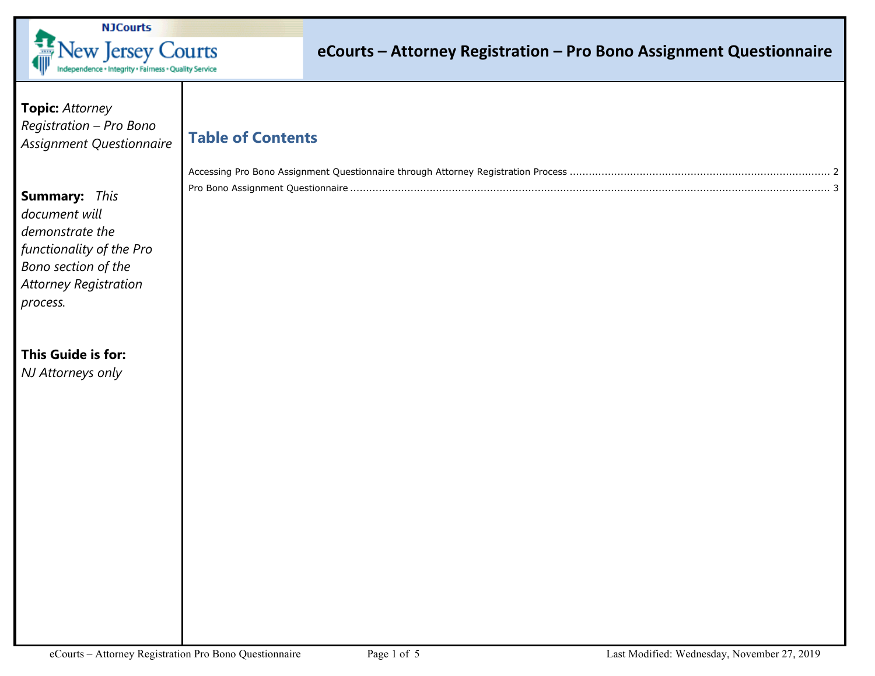

## **eCourts – Attorney Registration – Pro Bono Assignment Questionnaire**

**Topic:** *Attorney Registration – Pro Bono Assignment Questionnaire* 

## **Table of Contents**

| Pro Bono Assignment Ouestionnaire |  |
|-----------------------------------|--|

**Summary:** *This document will demonstrate the functionality of the Pro Bono section of the Attorney Registration process.* 

### **This Guide is for:**  *NJ Attorneys only*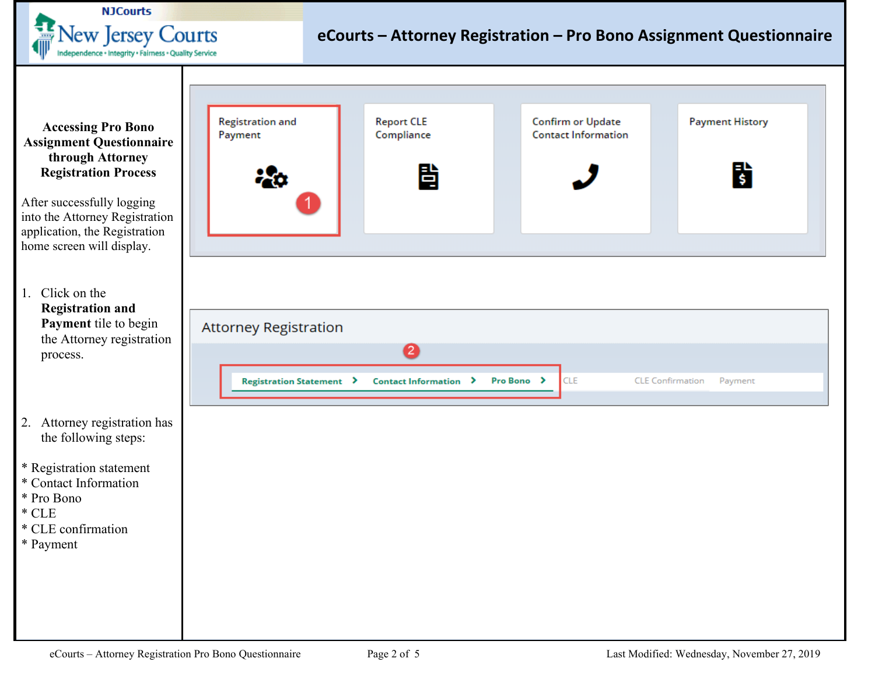

<span id="page-1-0"></span>**Accessing Pro Bono Assignment Questionnaire** through Attorney **Registration Process** 

After successfully logging into the Attorney Registration application, the Registration home screen will display.

1. Click on the **Registration and** Payment tile to begin the Attorney registratio process.

### 2. Attorney registration has the following steps:

\* Registration statement

- \* Contact Information
- \* Pro Bono
- $*$  CLE
- \* CLE confirmation
- \* Payment



| Attorney Registration                                     |                                                  |
|-----------------------------------------------------------|--------------------------------------------------|
|                                                           |                                                  |
| Registration Statement > Contact Information > Pro Bono > | <b>CLE</b><br><b>CLE Confirmation</b><br>Pavment |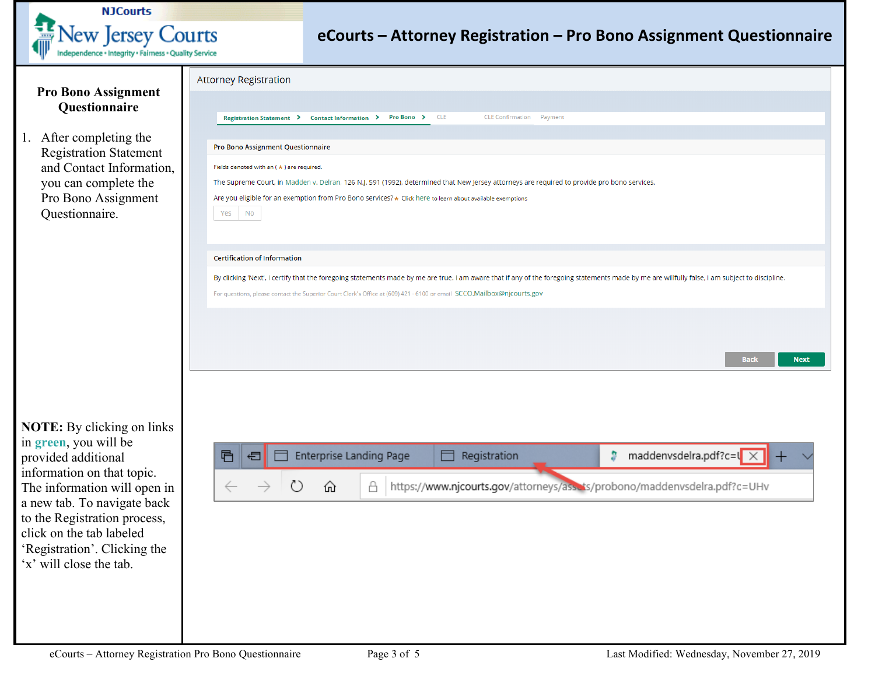

# **eCourts – Attorney Registration – Pro Bono Assignment Questionnaire**  I

<span id="page-2-0"></span>

|                                                                                                                                                       | <b>Attorney Registration</b>                                                                                                                                                                                                                                                                                                                                      |
|-------------------------------------------------------------------------------------------------------------------------------------------------------|-------------------------------------------------------------------------------------------------------------------------------------------------------------------------------------------------------------------------------------------------------------------------------------------------------------------------------------------------------------------|
| <b>Pro Bono Assignment</b><br>Questionnaire                                                                                                           |                                                                                                                                                                                                                                                                                                                                                                   |
|                                                                                                                                                       | Registration Statement > Contact Information > Pro Bono ><br><b>CLE</b><br><b>CLE Confirmation Payment</b>                                                                                                                                                                                                                                                        |
| 1. After completing the<br><b>Registration Statement</b><br>and Contact Information,<br>you can complete the<br>Pro Bono Assignment<br>Questionnaire. | Pro Bono Assignment Questionnaire<br>Fields denoted with an ( * ) are required.<br>The Supreme Court, in Madden v. Delran, 126 N.J. 591 (1992), determined that New Jersey attorneys are required to provide pro bono services.<br>Are you eligible for an exemption from Pro Bono services? * Click here to learn about available exemptions<br>Yes<br><b>No</b> |
|                                                                                                                                                       |                                                                                                                                                                                                                                                                                                                                                                   |
|                                                                                                                                                       | <b>Certification of Information</b>                                                                                                                                                                                                                                                                                                                               |
|                                                                                                                                                       | By clicking 'Next', I certify that the foregoing statements made by me are true. I am aware that if any of the foregoing statements made by me are willfully false, I am subject to discipline.                                                                                                                                                                   |
|                                                                                                                                                       | For questions, please contact the Superior Court Clerk's Office at (609) 421 - 6100 or email SCCO.Mailbox@njcourts.gov                                                                                                                                                                                                                                            |
|                                                                                                                                                       |                                                                                                                                                                                                                                                                                                                                                                   |
|                                                                                                                                                       |                                                                                                                                                                                                                                                                                                                                                                   |
|                                                                                                                                                       | <b>Back</b><br><b>Next</b>                                                                                                                                                                                                                                                                                                                                        |
|                                                                                                                                                       |                                                                                                                                                                                                                                                                                                                                                                   |
|                                                                                                                                                       |                                                                                                                                                                                                                                                                                                                                                                   |
|                                                                                                                                                       |                                                                                                                                                                                                                                                                                                                                                                   |
| <b>NOTE:</b> By clicking on links                                                                                                                     |                                                                                                                                                                                                                                                                                                                                                                   |
| in green, you will be<br>provided additional                                                                                                          | <b>Enterprise Landing Page</b><br>maddenvsdelra.pdf?c=l<br>Registration<br>à.<br>目<br>日                                                                                                                                                                                                                                                                           |
| information on that topic.                                                                                                                            |                                                                                                                                                                                                                                                                                                                                                                   |
| The information will open in                                                                                                                          | https://www.njcourts.gov/attorneys/assets/probono/maddenvsdelra.pdf?c=UHv<br>Å<br>⋒                                                                                                                                                                                                                                                                               |
| a new tab. To navigate back<br>to the Registration process,                                                                                           |                                                                                                                                                                                                                                                                                                                                                                   |
| click on the tab labeled                                                                                                                              |                                                                                                                                                                                                                                                                                                                                                                   |
| 'Registration'. Clicking the                                                                                                                          |                                                                                                                                                                                                                                                                                                                                                                   |
| 'x' will close the tab.                                                                                                                               |                                                                                                                                                                                                                                                                                                                                                                   |
|                                                                                                                                                       |                                                                                                                                                                                                                                                                                                                                                                   |
|                                                                                                                                                       |                                                                                                                                                                                                                                                                                                                                                                   |
|                                                                                                                                                       |                                                                                                                                                                                                                                                                                                                                                                   |
|                                                                                                                                                       |                                                                                                                                                                                                                                                                                                                                                                   |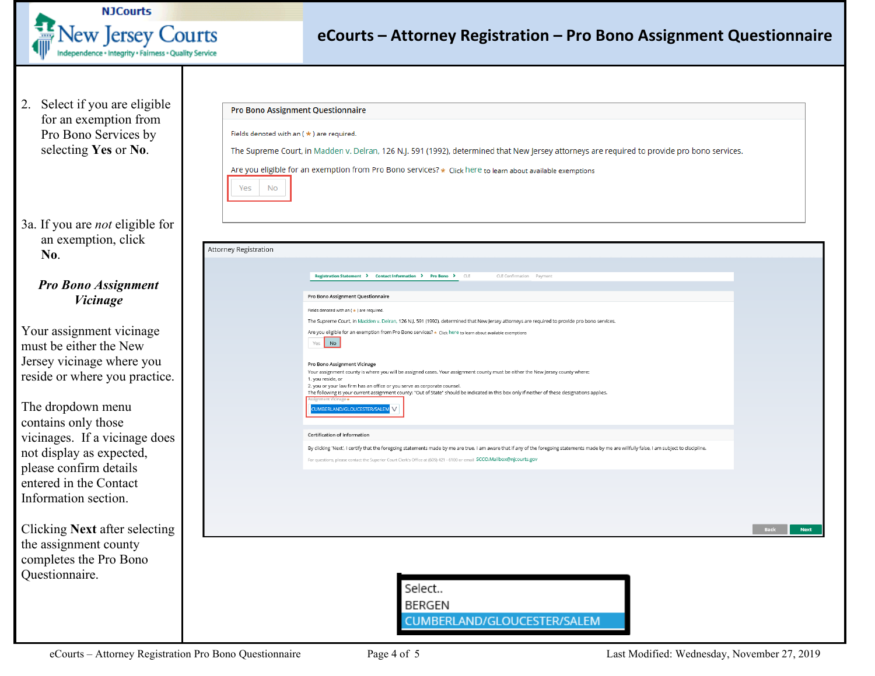

## **eCourts – Attorney Registration – Pro Bono Assignment Questionnaire**

2. Select if you are eligible for an exemption from Pro Bono Services by selecting **Yes** or **No**.

3a. If you are *not* eligible for an exemption, click **No**.

#### *Pro Bono Assignment Vicinage*

Your assignment vicinage must be either the New Jersey vicinage where you reside or where you practice.

The dropdown menu contains only those vicinages. If a vicinage does not display as expected, please confirm details entered in the Contact Information section.

Clicking **Next** after selecting the assignment county completes the Pro Bono Questionnaire.

|                       | <b>Pro Bono Assignment Questionnaire</b>                                                                                                                                                        |
|-----------------------|-------------------------------------------------------------------------------------------------------------------------------------------------------------------------------------------------|
|                       | Fields denoted with an $(*)$ are required.                                                                                                                                                      |
|                       | The Supreme Court, in Madden v. Delran, 126 N.J. 591 (1992), determined that New Jersey attorneys are required to provide pro bono services.                                                    |
|                       | Are you eligible for an exemption from Pro Bono services? * Click here to learn about available exemptions                                                                                      |
| Yes<br>No             |                                                                                                                                                                                                 |
|                       |                                                                                                                                                                                                 |
|                       |                                                                                                                                                                                                 |
|                       |                                                                                                                                                                                                 |
| Attorney Registration |                                                                                                                                                                                                 |
|                       | Registration Statement > Contact Information > Pro Bono > CLE<br>CLE Confirmation Payment                                                                                                       |
|                       |                                                                                                                                                                                                 |
|                       | Pro Bono Assignment Questionnaire<br>Fields denoted with an ( * ) are required.                                                                                                                 |
|                       | The Supreme Court, in Madden v. Delran, 126 N.J. 591 (1992), determined that New Jersey attorneys are required to provide pro bono services.                                                    |
|                       | Are you eligible for an exemption from Pro Bono services? * Click here to learn about available exemptions                                                                                      |
|                       | Yes No                                                                                                                                                                                          |
|                       | Pro Bono Assignment Vicinage<br>Your assignment county is where you will be assigned cases. Your assignment county must be either the New Jersey county where:                                  |
|                       | 1. you reside, or<br>2. you or your law firm has an office or you serve as corporate counsel.                                                                                                   |
|                       | The following is your current assignment county: "Out of State" should be indicated in this box only if neither of these designations applies.<br>nent Vicinage                                 |
|                       | CUMBERLAND/GLOUCESTER/SALEM V                                                                                                                                                                   |
|                       | <b>Certification of Information</b>                                                                                                                                                             |
|                       | By clicking 'Next', I certify that the foregoing statements made by me are true. I am aware that if any of the foregoing statements made by me are willfully false, I am subject to discipline. |
|                       | For questions, please contact the Superior Court Clerk's Office at (609) 421 - 6100 or email SCCO.Mailbox@njcourts.gov                                                                          |
|                       |                                                                                                                                                                                                 |
|                       |                                                                                                                                                                                                 |
|                       |                                                                                                                                                                                                 |
|                       | Back                                                                                                                                                                                            |
|                       |                                                                                                                                                                                                 |
|                       |                                                                                                                                                                                                 |
|                       |                                                                                                                                                                                                 |
|                       | Select                                                                                                                                                                                          |
|                       | <b>BERGEN</b>                                                                                                                                                                                   |
|                       | CUMBERLAND/GLOUCESTER/SALEM                                                                                                                                                                     |